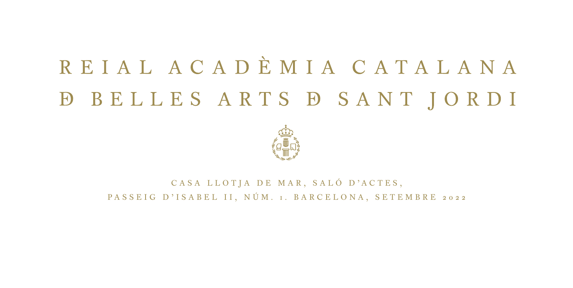## REIAL ACADÈMIA CATALANA **D BELLES ARTS D SANT JORDI**



CASA LLOTIA DE MAR, SALÓ D'ACTES, PASSEIG D'ISABEL II, NÚM. 1. BARCELONA, SETEMBRE 2022